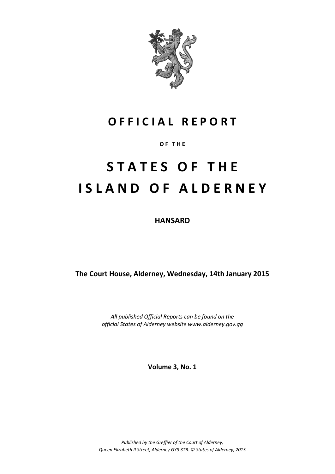

## **O F F I C I A L R E P O R T**

#### **O F T H E**

# **S T A T E S O F T H E I S L A N D O F A L D E R N E Y**

**HANSARD**

**The Court House, Alderney, Wednesday, 14th January 2015**

*All published Official Reports can be found on the official States of Alderney website www.alderney.gov.gg*

**Volume 3, No. 1**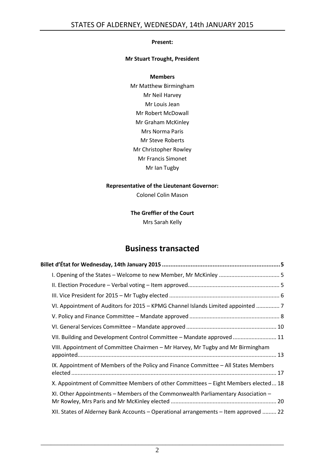#### **Present:**

#### **Mr Stuart Trought, President**

#### **Members**

Mr Matthew Birmingham Mr Neil Harvey Mr Louis Jean Mr Robert McDowall Mr Graham McKinley Mrs Norma Paris Mr Steve Roberts Mr Christopher Rowley Mr Francis Simonet Mr Ian Tugby

#### **Representative of the Lieutenant Governor:**

Colonel Colin Mason

#### **The Greffier of the Court**

Mrs Sarah Kelly

## **Business transacted**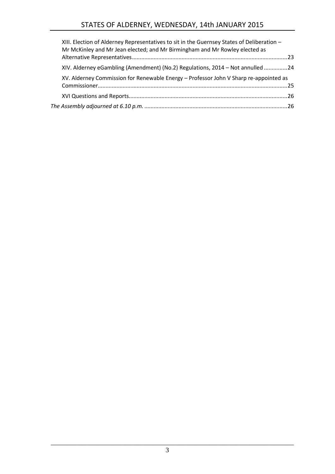| XIII. Election of Alderney Representatives to sit in the Guernsey States of Deliberation -<br>Mr McKinley and Mr Jean elected; and Mr Birmingham and Mr Rowley elected as |  |
|---------------------------------------------------------------------------------------------------------------------------------------------------------------------------|--|
|                                                                                                                                                                           |  |
| XIV. Alderney eGambling (Amendment) (No.2) Regulations, 2014 – Not annulled 24                                                                                            |  |
| XV. Alderney Commission for Renewable Energy - Professor John V Sharp re-appointed as                                                                                     |  |
|                                                                                                                                                                           |  |
|                                                                                                                                                                           |  |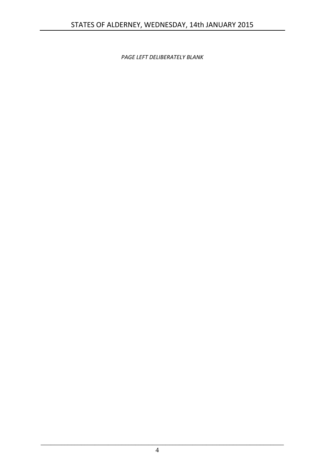*PAGE LEFT DELIBERATELY BLANK*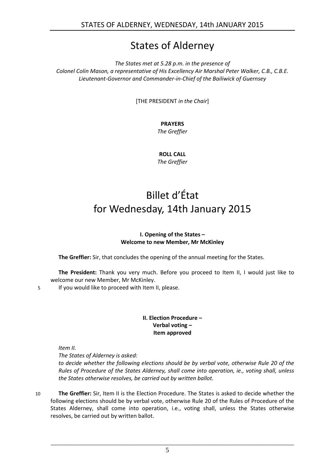## States of Alderney

*The States met at 5.28 p.m. in the presence of Colonel Colin Mason, a representative of His Excellency Air Marshal Peter Walker, C.B., C.B.E. Lieutenant-Governor and Commander-in-Chief of the Bailiwick of Guernsey*

[THE PRESIDENT *in the Chair*]

### **PRAYERS**

*The Greffier*

**ROLL CALL** *The Greffier*

## <span id="page-4-0"></span>Billet d'État for Wednesday, 14th January 2015

#### **I. Opening of the States – Welcome to new Member, Mr McKinley**

<span id="page-4-1"></span>**The Greffier:** Sir, that concludes the opening of the annual meeting for the States.

**The President:** Thank you very much. Before you proceed to Item II, I would just like to welcome our new Member, Mr McKinley.

<span id="page-4-2"></span>5 If you would like to proceed with Item II, please.

# **II. Election Procedure –**

#### **Verbal voting – Item approved**

*Item II.*

*The States of Alderney is asked:*

*to decide whether the following elections should be by verbal vote, otherwise Rule 20 of the Rules of Procedure of the States Alderney, shall come into operation, ie., voting shall, unless the States otherwise resolves, be carried out by written ballot.*

10 **The Greffier:** Sir, Item II is the Election Procedure. The States is asked to decide whether the following elections should be by verbal vote, otherwise Rule 20 of the Rules of Procedure of the States Alderney, shall come into operation, i.e., voting shall, unless the States otherwise resolves, be carried out by written ballot.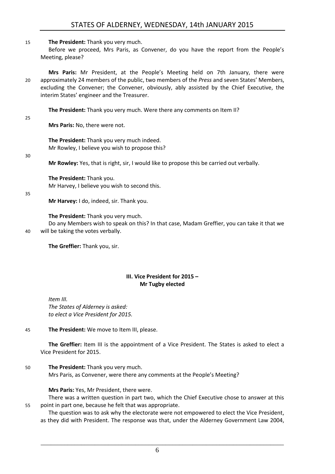Before we proceed, Mrs Paris, as Convener, do you have the report from the People's Meeting, please?

**Mrs Paris:** Mr President, at the People's Meeting held on 7th January, there were 20 approximately 24 members of the public, two members of the *Press* and seven States' Members, excluding the Convener; the Convener, obviously, ably assisted by the Chief Executive, the interim States' engineer and the Treasurer.

**The President:** Thank you very much. Were there any comments on Item II?

25

**Mrs Paris:** No, there were not.

**The President:** Thank you very much indeed. Mr Rowley, I believe you wish to propose this?

#### 30

**Mr Rowley:** Yes, that is right, sir, I would like to propose this be carried out verbally.

**The President:** Thank you.

Mr Harvey, I believe you wish to second this.

35

**Mr Harvey:** I do, indeed, sir. Thank you.

**The President:** Thank you very much.

Do any Members wish to speak on this? In that case, Madam Greffier, you can take it that we 40 will be taking the votes verbally.

**The Greffier:** Thank you, sir.

#### **III. Vice President for 2015 – Mr Tugby elected**

<span id="page-5-0"></span>*Item III. The States of Alderney is asked: to elect a Vice President for 2015.* 

#### 45 **The President:** We move to Item III, please.

**The Greffier:** Item III is the appointment of a Vice President. The States is asked to elect a Vice President for 2015.

50 **The President:** Thank you very much.

Mrs Paris, as Convener, were there any comments at the People's Meeting?

**Mrs Paris:** Yes, Mr President, there were.

There was a written question in part two, which the Chief Executive chose to answer at this 55 point in part one, because he felt that was appropriate.

The question was to ask why the electorate were not empowered to elect the Vice President, as they did with President. The response was that, under the Alderney Government Law 2004,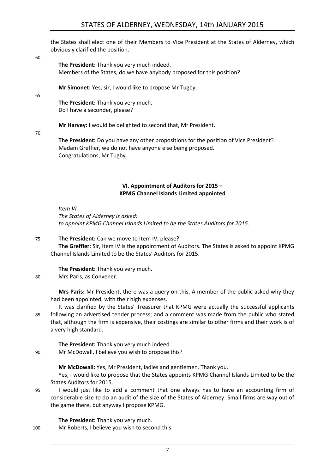the States shall elect one of their Members to Vice President at the States of Alderney, which obviously clarified the position.

60

#### **The President:** Thank you very much indeed.

Members of the States, do we have anybody proposed for this position?

**Mr Simonet:** Yes, sir, I would like to propose Mr Tugby.

65

**The President:** Thank you very much. Do I have a seconder, please?

**Mr Harvey:** I would be delighted to second that, Mr President.

70

**The President:** Do you have any other propositions for the position of Vice President? Madam Greffier, we do not have anyone else being proposed. Congratulations, Mr Tugby.

#### **VI. Appointment of Auditors for 2015 – KPMG Channel Islands Limited appointed**

<span id="page-6-0"></span>*Item VI.*

*The States of Alderney is asked: to appoint KPMG Channel Islands Limited to be the States Auditors for 2015.*

#### 75 **The President:** Can we move to Item IV, please?

**The Greffier**: Sir, Item IV is the appointment of Auditors. The States is asked to appoint KPMG Channel Islands Limited to be the States' Auditors for 2015.

**The President:** Thank you very much.

80 Mrs Paris, as Convener.

**Mrs Paris:** Mr President, there was a query on this. A member of the public asked why they had been appointed, with their high expenses.

It was clarified by the States' Treasurer that KPMG were actually the successful applicants 85 following an advertised tender process; and a comment was made from the public who stated that, although the firm is expensive, their costings are similar to other firms and their work is of a very high standard.

**The President:** Thank you very much indeed.

90 Mr McDowall, I believe you wish to propose this?

**Mr McDowall:** Yes, Mr President, ladies and gentlemen. Thank you.

Yes, I would like to propose that the States appoints KPMG Channel Islands Limited to be the States Auditors for 2015.

95 I would just like to add a comment that one always has to have an accounting firm of considerable size to do an audit of the size of the States of Alderney. Small firms are way out of the game there, but anyway I propose KPMG.

**The President:** Thank you very much.

100 Mr Roberts, I believe you wish to second this.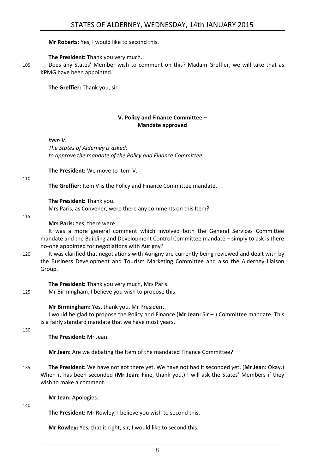**Mr Roberts:** Yes, I would like to second this.

#### **The President:** Thank you very much.

105 Does any States' Member wish to comment on this? Madam Greffier, we will take that as KPMG have been appointed.

**The Greffier:** Thank you, sir.

#### **V. Policy and Finance Committee – Mandate approved**

<span id="page-7-0"></span>*Item V. The States of Alderney is asked: to approve the mandate of the Policy and Finance Committee.*

**The President:** We move to Item V.

#### 110

**The Greffier:** Item V is the Policy and Finance Committee mandate.

**The President:** Thank you.

Mrs Paris, as Convener, were there any comments on this Item?

#### 115

#### **Mrs Paris:** Yes, there were.

It was a more general comment which involved both the General Services Committee mandate and the Building and Development Control Committee mandate – simply to ask is there no-one appointed for negotiations with Aurigny?

120 It was clarified that negotiations with Aurigny are currently being reviewed and dealt with by the Business Development and Tourism Marketing Committee and also the Alderney Liaison Group.

**The President:** Thank you very much, Mrs Paris. 125 Mr Birmingham, I believe you wish to propose this.

**Mr Birmingham:** Yes, thank you, Mr President.

I would be glad to propose the Policy and Finance (**Mr Jean:** Sir – ) Committee mandate. This is a fairly standard mandate that we have most years.

130

 $140$ 

**The President:** Mr Jean.

**Mr Jean:** Are we debating the Item of the mandated Finance Committee?

135 **The President:** We have not got there yet. We have not had it seconded yet. (**Mr Jean:** Okay.) When it has been seconded (**Mr Jean:** Fine, thank you.) I will ask the States' Members if they wish to make a comment.

**Mr Jean:** Apologies.

**The President:** Mr Rowley, I believe you wish to second this.

**Mr Rowley:** Yes, that is right, sir, I would like to second this.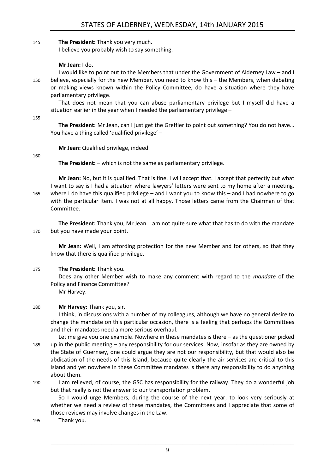I believe you probably wish to say something.

#### **Mr Jean:** I do.

I would like to point out to the Members that under the Government of Alderney Law – and I 150 believe, especially for the new Member, you need to know this – the Members, when debating or making views known within the Policy Committee, do have a situation where they have parliamentary privilege.

That does not mean that you can abuse parliamentary privilege but I myself did have a situation earlier in the year when I needed the parliamentary privilege –

155

**The President:** Mr Jean, can I just get the Greffier to point out something? You do not have… You have a thing called 'qualified privilege' –

**Mr Jean:** Qualified privilege, indeed.

#### 160

**The President:** – which is not the same as parliamentary privilege.

**Mr Jean:** No, but it is qualified. That is fine. I will accept that. I accept that perfectly but what I want to say is I had a situation where lawyers' letters were sent to my home after a meeting, 165 where I do have this qualified privilege – and I want you to know this – and I had nowhere to go with the particular Item. I was not at all happy. Those letters came from the Chairman of that Committee.

**The President:** Thank you, Mr Jean. I am not quite sure what that has to do with the mandate 170 but you have made your point.

**Mr Jean:** Well, I am affording protection for the new Member and for others, so that they know that there is qualified privilege.

#### 175 **The President:** Thank you.

Does any other Member wish to make any comment with regard to the *mandate* of the Policy and Finance Committee?

Mr Harvey.

#### 180 **Mr Harvey:** Thank you, sir.

I think, in discussions with a number of my colleagues, although we have no general desire to change the mandate on this particular occasion, there is a feeling that perhaps the Committees and their mandates need a more serious overhaul.

Let me give you one example. Nowhere in these mandates is there – as the questioner picked 185 up in the public meeting – any responsibility for our services. Now, insofar as they are owned by the State of Guernsey, one could argue they are not our responsibility, but that would also be abdication of the needs of this Island, because quite clearly the air services are critical to this Island and yet nowhere in these Committee mandates is there any responsibility to do anything about them.

190 I am relieved, of course, the GSC has responsibility for the railway. They do a wonderful job but that really is not the answer to our transportation problem.

So I would urge Members, during the course of the next year, to look very seriously at whether we need a review of these mandates, the Committees and I appreciate that some of those reviews may involve changes in the Law.

195 Thank you.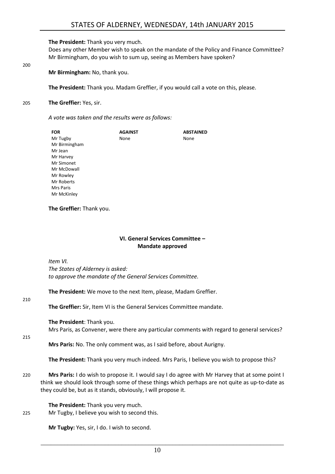Does any other Member wish to speak on the mandate of the Policy and Finance Committee? Mr Birmingham, do you wish to sum up, seeing as Members have spoken?

200

**Mr Birmingham:** No, thank you.

**The President:** Thank you. Madam Greffier, if you would call a vote on this, please.

#### 205 **The Greffier:** Yes, sir.

*A vote was taken and the results were as follows:*

| <b>AGAINST</b> | <b>ABSTAINED</b> |
|----------------|------------------|
| None           | None             |
|                |                  |
|                |                  |
|                |                  |
|                |                  |
|                |                  |
|                |                  |
|                |                  |
|                |                  |
|                |                  |
|                |                  |

**The Greffier:** Thank you.

#### **VI. General Services Committee – Mandate approved**

<span id="page-9-0"></span>*Item VI. The States of Alderney is asked: to approve the mandate of the General Services Committee.*

**The President:** We move to the next Item, please, Madam Greffier.

210

**The Greffier:** Sir, Item VI is the General Services Committee mandate.

#### **The President**: Thank you.

Mrs Paris, as Convener, were there any particular comments with regard to general services?

215

**Mrs Paris:** No. The only comment was, as I said before, about Aurigny.

**The President:** Thank you very much indeed. Mrs Paris, I believe you wish to propose this?

220 **Mrs Paris:** I do wish to propose it. I would say I do agree with Mr Harvey that at some point I think we should look through some of these things which perhaps are not quite as up-to-date as they could be, but as it stands, obviously, I will propose it.

**The President:** Thank you very much.

225 Mr Tugby, I believe you wish to second this.

**Mr Tugby:** Yes, sir, I do. I wish to second.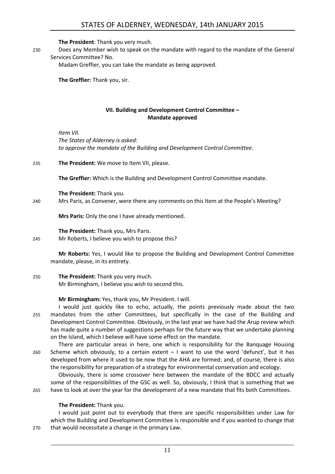230 Does any Member wish to speak on the mandate with regard to the mandate of the General Services Committee? No.

Madam Greffier, you can take the mandate as being approved.

**The Greffier:** Thank you, sir.

#### **VII. Building and Development Control Committee – Mandate approved**

<span id="page-10-0"></span>*Item VII. The States of Alderney is asked: to approve the mandate of the Building and Development Control Committee.*

235 **The President:** We move to Item VII, please.

**The Greffier:** Which is the Building and Development Control Committee mandate.

**The President:** Thank you.

240 Mrs Paris, as Convener, were there any comments on this Item at the People's Meeting?

**Mrs Paris:** Only the one I have already mentioned.

**The President:** Thank you, Mrs Paris.

245 Mr Roberts, I believe you wish to propose this?

**Mr Roberts:** Yes, I would like to propose the Building and Development Control Committee mandate, please, in its entirety.

250 **The President:** Thank you very much. Mr Birmingham, I believe you wish to second this.

**Mr Birmingham:** Yes, thank you, Mr President. I will.

I would just quickly like to echo, actually, the points previously made about the two 255 mandates from the other Committees, but specifically in the case of the Building and Development Control Committee. Obviously, in the last year we have had the Arup review which has made quite a number of suggestions perhaps for the future way that we undertake planning on the Island, which I believe will have some effect on the mandate.

There are particular areas in here, one which is responsibility for the Banquage Housing 260 Scheme which obviously, to a certain extent  $-1$  want to use the word 'defunct', but it has developed from where it used to be now that the AHA are formed; and, of course, there is also the responsibility for preparation of a strategy for environmental conservation and ecology.

Obviously, there is some crossover here between the mandate of the BDCC and actually some of the responsibilities of the GSC as well. So, obviously, I think that is something that we 265 have to look at over the year for the development of a new mandate that fits both Committees.

#### **The President:** Thank you.

I would just point out to everybody that there are specific responsibilities under Law for which the Building and Development Committee is responsible and if you wanted to change that 270 that would necessitate a change in the primary Law.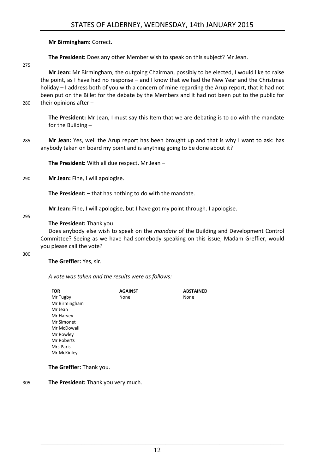**Mr Birmingham:** Correct.

**The President:** Does any other Member wish to speak on this subject? Mr Jean.

275

**Mr Jean:** Mr Birmingham, the outgoing Chairman, possibly to be elected, I would like to raise the point, as I have had no response – and I know that we had the New Year and the Christmas holiday – I address both of you with a concern of mine regarding the Arup report, that it had not been put on the Billet for the debate by the Members and it had not been put to the public for 280 their opinions after –

**The President:** Mr Jean, I must say this Item that we are debating is to do with the mandate for the Building –

285 **Mr Jean:** Yes, well the Arup report has been brought up and that is why I want to ask: has anybody taken on board my point and is anything going to be done about it?

**The President:** With all due respect, Mr Jean –

290 **Mr Jean:** Fine, I will apologise.

**The President:** – that has nothing to do with the mandate.

**Mr Jean:** Fine, I will apologise, but I have got my point through. I apologise.

#### **The President:** Thank you.

Does anybody else wish to speak on the *mandate* of the Building and Development Control Committee? Seeing as we have had somebody speaking on this issue, Madam Greffier, would you please call the vote?

300

295

**The Greffier:** Yes, sir.

*A vote was taken and the results were as follows:*

| <b>FOR</b>    | <b>AGAINST</b> | <b>ABSTAINED</b> |
|---------------|----------------|------------------|
| Mr Tugby      | None           | None             |
| Mr Birmingham |                |                  |
| Mr Jean       |                |                  |
| Mr Harvey     |                |                  |
| Mr Simonet    |                |                  |
| Mr McDowall   |                |                  |
| Mr Rowley     |                |                  |
| Mr Roberts    |                |                  |
| Mrs Paris     |                |                  |
| Mr McKinley   |                |                  |
|               |                |                  |

**The Greffier:** Thank you.

305 **The President:** Thank you very much.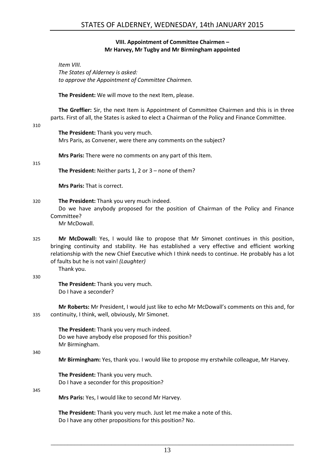#### **VIII. Appointment of Committee Chairmen – Mr Harvey, Mr Tugby and Mr Birmingham appointed**

<span id="page-12-0"></span>*Item VIII. The States of Alderney is asked: to approve the Appointment of Committee Chairmen.*

**The President:** We will move to the next Item, please.

**The Greffier:** Sir, the next Item is Appointment of Committee Chairmen and this is in three parts. First of all, the States is asked to elect a Chairman of the Policy and Finance Committee.

#### 310

**The President:** Thank you very much. Mrs Paris, as Convener, were there any comments on the subject?

**Mrs Paris:** There were no comments on any part of this Item.

#### 315

**The President:** Neither parts 1, 2 or 3 – none of them?

**Mrs Paris:** That is correct.

#### 320 **The President:** Thank you very much indeed.

Do we have anybody proposed for the position of Chairman of the Policy and Finance Committee?

Mr McDowall.

325 **Mr McDowall:** Yes, I would like to propose that Mr Simonet continues in this position, bringing continuity and stability. He has established a very effective and efficient working relationship with the new Chief Executive which I think needs to continue. He probably has a lot of faults but he is not vain! *(Laughter)*

Thank you.

330

**The President:** Thank you very much. Do I have a seconder?

**Mr Roberts:** Mr President, I would just like to echo Mr McDowall's comments on this and, for 335 continuity, I think, well, obviously, Mr Simonet.

**The President:** Thank you very much indeed. Do we have anybody else proposed for this position? Mr Birmingham.

#### 340

**Mr Birmingham:** Yes, thank you. I would like to propose my erstwhile colleague, Mr Harvey.

**The President:** Thank you very much. Do I have a seconder for this proposition?

#### 345

**Mrs Paris:** Yes, I would like to second Mr Harvey.

**The President:** Thank you very much. Just let me make a note of this. Do I have any other propositions for this position? No.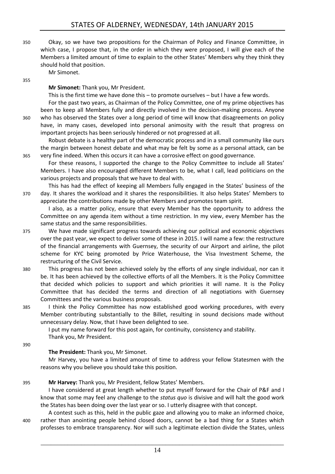350 Okay, so we have two propositions for the Chairman of Policy and Finance Committee, in which case, I propose that, in the order in which they were proposed, I will give each of the Members a limited amount of time to explain to the other States' Members why they think they should hold that position.

Mr Simonet.

355

#### **Mr Simonet:** Thank you, Mr President.

This is the first time we have done this – to promote ourselves – but I have a few words.

For the past two years, as Chairman of the Policy Committee, one of my prime objectives has been to keep all Members fully and directly involved in the decision-making process. Anyone 360 who has observed the States over a long period of time will know that disagreements on policy have, in many cases, developed into personal animosity with the result that progress on important projects has been seriously hindered or not progressed at all.

Robust debate is a healthy part of the democratic process and in a small community like ours the margin between honest debate and what may be felt by some as a personal attack, can be 365 very fine indeed. When this occurs it can have a corrosive effect on good governance.

For these reasons, I supported the change to the Policy Committee to include all States' Members. I have also encouraged different Members to be, what I call, lead politicians on the various projects and proposals that we have to deal with.

This has had the effect of keeping all Members fully engaged in the States' business of the 370 day. It shares the workload and it shares the responsibilities. It also helps States' Members to appreciate the contributions made by other Members and promotes team spirit.

I also, as a matter policy, ensure that every Member has the opportunity to address the Committee on any agenda item without a time restriction. In my view, every Member has the same status and the same responsibilities.

- 375 We have made significant progress towards achieving our political and economic objectives over the past year, we expect to deliver some of these in 2015. I will name a few: the restructure of the financial arrangements with Guernsey, the security of our Airport and airline, the pilot scheme for KYC being promoted by Price Waterhouse, the Visa Investment Scheme, the restructuring of the Civil Service.
- 380 This progress has not been achieved solely by the efforts of any single individual, nor can it be. It has been achieved by the collective efforts of all the Members. It is the Policy Committee that decided which policies to support and which priorities it will name. It is the Policy Committee that has decided the terms and direction of all negotiations with Guernsey Committees and the various business proposals.
- 385 I think the Policy Committee has now established good working procedures, with every Member contributing substantially to the Billet, resulting in sound decisions made without unnecessary delay. Now, that I have been delighted to see.

I put my name forward for this post again, for continuity, consistency and stability. Thank you, Mr President.

390

#### **The President:** Thank you, Mr Simonet.

Mr Harvey, you have a limited amount of time to address your fellow Statesmen with the reasons why you believe you should take this position.

#### 395 **Mr Harvey:** Thank you, Mr President, fellow States' Members.

I have considered at great length whether to put myself forward for the Chair of P&F and I know that some may feel any challenge to the *status quo* is divisive and will halt the good work the States has been doing over the last year or so. I utterly disagree with that concept.

A contest such as this, held in the public gaze and allowing you to make an informed choice, 400 rather than anointing people behind closed doors, cannot be a bad thing for a States which professes to embrace transparency. Nor will such a legitimate election divide the States, unless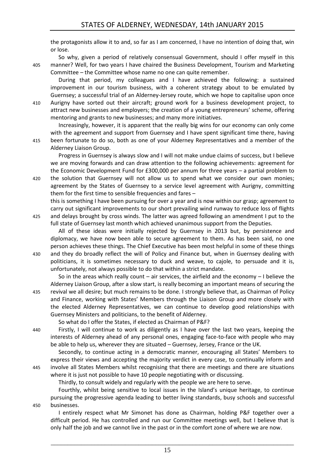the protagonists allow it to and, so far as I am concerned, I have no intention of doing that, win or lose.

So why, given a period of relatively consensual Government, should I offer myself in this 405 manner? Well, for two years I have chaired the Business Development, Tourism and Marketing Committee – the Committee whose name no one can quite remember.

During that period, my colleagues and I have achieved the following: a sustained improvement in our tourism business, with a coherent strategy about to be emulated by Guernsey; a successful trial of an Alderney-Jersey route, which we hope to capitalise upon once 410 Aurigny have sorted out their aircraft; ground work for a business development project, to attract new businesses and employers; the creation of a young entrepreneurs' scheme, offering mentoring and grants to new businesses; and many more initiatives.

Increasingly, however, it is apparent that the really big wins for our economy can only come with the agreement and support from Guernsey and I have spent significant time there, having 415 been fortunate to do so, both as one of your Alderney Representatives and a member of the

Alderney Liaison Group.

Progress in Guernsey is always slow and I will not make undue claims of success, but I believe we are moving forwards and can draw attention to the following achievements: agreement for the Economic Development Fund for £300,000 per annum for three years – a partial problem to 420 the solution that Guernsey will not allow us to spend what we consider our own monies; agreement by the States of Guernsey to a service level agreement with Aurigny, committing them for the first time to sensible frequencies and fares –

this is something I have been pursuing for over a year and is now within our grasp; agreement to carry out significant improvements to our short prevailing wind runway to reduce loss of flights 425 and delays brought by cross winds. The latter was agreed following an amendment I put to the full state of Guernsey last month which achieved unanimous support from the Deputies.

All of these ideas were initially rejected by Guernsey in 2013 but, by persistence and diplomacy, we have now been able to secure agreement to them. As has been said, no one person achieves these things. The Chief Executive has been most helpful in some of these things 430 and they do broadly reflect the will of Policy and Finance but, when in Guernsey dealing with politicians, it is sometimes necessary to duck and weave, to cajole, to persuade and it is, unfortunately, not always possible to do that within a strict mandate.

So in the areas which really count – air services, the airfield and the economy – I believe the Alderney Liaison Group, after a slow start, is really becoming an important means of securing the 435 revival we all desire; but much remains to be done. I strongly believe that, as Chairman of Policy and Finance, working with States' Members through the Liaison Group and more closely with the elected Alderney Representatives, we can continue to develop good relationships with Guernsey Ministers and politicians, to the benefit of Alderney.

So what do I offer the States, if elected as Chairman of P&F?

440 Firstly, I will continue to work as diligently as I have over the last two years, keeping the interests of Alderney ahead of any personal ones, engaging face-to-face with people who may be able to help us, wherever they are situated – Guernsey, Jersey, France or the UK.

Secondly, to continue acting in a democratic manner, encouraging all States' Members to express their views and accepting the majority verdict in every case, to continually inform and 445 involve all States Members whilst recognising that there are meetings and there are situations where it is just not possible to have 10 people negotiating with or discussing.

Thirdly, to consult widely and regularly with the people we are here to serve.

Fourthly, whilst being sensitive to local issues in the Island's unique heritage, to continue pursuing the progressive agenda leading to better living standards, busy schools and successful 450 businesses.

I entirely respect what Mr Simonet has done as Chairman, holding P&F together over a difficult period. He has controlled and run our Committee meetings well, but I believe that is only half the job and we cannot live in the past or in the comfort zone of where we are now.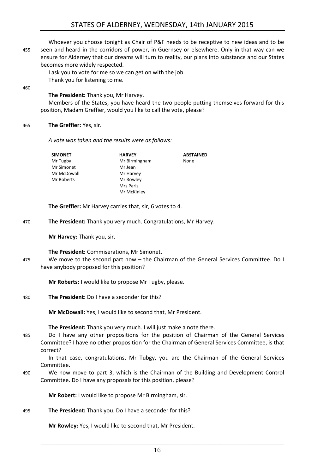Whoever you choose tonight as Chair of P&F needs to be receptive to new ideas and to be 455 seen and heard in the corridors of power, in Guernsey or elsewhere. Only in that way can we ensure for Alderney that our dreams will turn to reality, our plans into substance and our States becomes more widely respected.

I ask you to vote for me so we can get on with the job. Thank you for listening to me.

460

#### **The President:** Thank you, Mr Harvey.

Members of the States, you have heard the two people putting themselves forward for this position, Madam Greffier, would you like to call the vote, please?

#### 465 **The Greffier:** Yes, sir.

*A vote was taken and the results were as follows:*

| <b>SIMONET</b> | <b>HARVEY</b> | <b>ABSTAINED</b> |
|----------------|---------------|------------------|
| Mr Tugby       | Mr Birmingham | None             |
| Mr Simonet     | Mr Jean       |                  |
| Mr McDowall    | Mr Harvey     |                  |
| Mr Roberts     | Mr Rowley     |                  |
|                | Mrs Paris     |                  |
|                | Mr McKinley   |                  |

**The Greffier:** Mr Harvey carries that, sir, 6 votes to 4.

#### 470 **The President:** Thank you very much. Congratulations, Mr Harvey.

**Mr Harvey:** Thank you, sir.

**The President:** Commiserations, Mr Simonet.

475 We move to the second part now - the Chairman of the General Services Committee. Do I have anybody proposed for this position?

**Mr Roberts:** I would like to propose Mr Tugby, please.

480 **The President:** Do I have a seconder for this?

**Mr McDowall:** Yes, I would like to second that, Mr President.

**The President:** Thank you very much. I will just make a note there.

485 Do I have any other propositions for the position of Chairman of the General Services Committee? I have no other proposition for the Chairman of General Services Committee, is that correct?

In that case, congratulations, Mr Tubgy, you are the Chairman of the General Services Committee.

490 We now move to part 3, which is the Chairman of the Building and Development Control Committee. Do I have any proposals for this position, please?

**Mr Robert:** I would like to propose Mr Birmingham, sir.

495 **The President:** Thank you. Do I have a seconder for this?

**Mr Rowley:** Yes, I would like to second that, Mr President.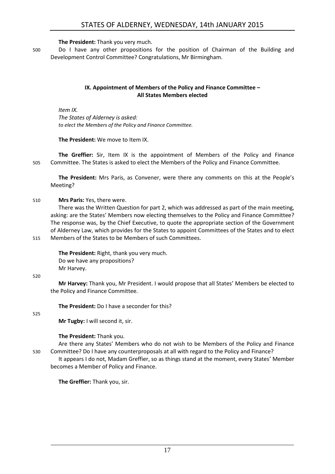<span id="page-16-0"></span>

500 Do I have any other propositions for the position of Chairman of the Building and Development Control Committee? Congratulations, Mr Birmingham.

#### **IX. Appointment of Members of the Policy and Finance Committee – All States Members elected**

*Item IX.*

*The States of Alderney is asked: to elect the Members of the Policy and Finance Committee.* 

**The President:** We move to Item IX.

**The Greffier:** Sir, Item IX is the appointment of Members of the Policy and Finance 505 Committee. The States is asked to elect the Members of the Policy and Finance Committee.

**The President:** Mrs Paris, as Convener, were there any comments on this at the People's Meeting?

#### 510 **Mrs Paris:** Yes, there were.

There was the Written Question for part 2, which was addressed as part of the main meeting, asking: are the States' Members now electing themselves to the Policy and Finance Committee? The response was, by the Chief Executive, to quote the appropriate section of the Government of Alderney Law, which provides for the States to appoint Committees of the States and to elect 515 Members of the States to be Members of such Committees.

**The President:** Right, thank you very much. Do we have any propositions? Mr Harvey.

520

**Mr Harvey:** Thank you, Mr President. I would propose that all States' Members be elected to the Policy and Finance Committee.

**The President:** Do I have a seconder for this?

#### 525

**Mr Tugby:** I will second it, sir.

#### **The President:** Thank you.

Are there any States' Members who do not wish to be Members of the Policy and Finance 530 Committee? Do I have any counterproposals at all with regard to the Policy and Finance?

It appears I do not, Madam Greffier, so as things stand at the moment, every States' Member becomes a Member of Policy and Finance.

**The Greffier:** Thank you, sir.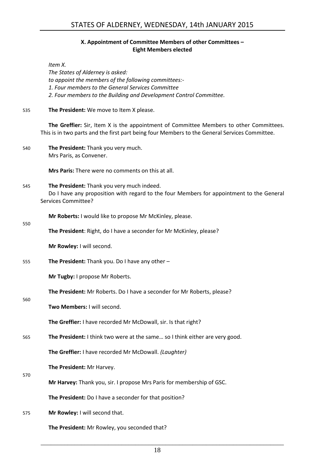#### **X. Appointment of Committee Members of other Committees – Eight Members elected**

<span id="page-17-0"></span>*Item X. The States of Alderney is asked: to appoint the members of the following committees:- 1. Four members to the General Services Committee 2. Four members to the Building and Development Control Committee.*

535 **The President:** We move to Item X please.

**The Greffier:** Sir, Item X is the appointment of Committee Members to other Committees. This is in two parts and the first part being four Members to the General Services Committee.

540 **The President:** Thank you very much. Mrs Paris, as Convener.

**Mrs Paris:** There were no comments on this at all.

#### 545 **The President:** Thank you very much indeed.

Do I have any proposition with regard to the four Members for appointment to the General Services Committee?

**Mr Roberts:** I would like to propose Mr McKinley, please.

#### **The President**: Right, do I have a seconder for Mr McKinley, please?

**Mr Rowley:** I will second.

555 **The President:** Thank you. Do I have any other –

**Mr Tugby:** I propose Mr Roberts.

**The President:** Mr Roberts. Do I have a seconder for Mr Roberts, please?

#### 560

570

550

**Two Members:** I will second.

**The Greffier:** I have recorded Mr McDowall, sir. Is that right?

565 **The President:** I think two were at the same… so I think either are very good.

**The Greffier:** I have recorded Mr McDowall. *(Laughter)*

**The President:** Mr Harvey.

**Mr Harvey:** Thank you, sir. I propose Mrs Paris for membership of GSC.

**The President:** Do I have a seconder for that position?

575 **Mr Rowley:** I will second that.

**The President:** Mr Rowley, you seconded that?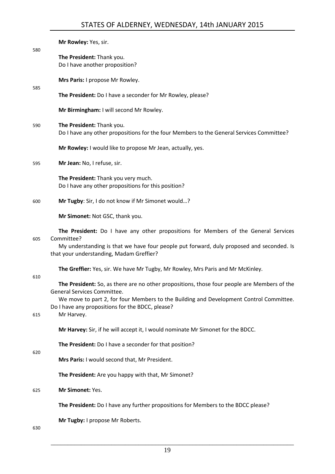| 580 | Mr Rowley: Yes, sir.                                                                                                                                                                                                                      |
|-----|-------------------------------------------------------------------------------------------------------------------------------------------------------------------------------------------------------------------------------------------|
|     | The President: Thank you.<br>Do I have another proposition?                                                                                                                                                                               |
|     | Mrs Paris: I propose Mr Rowley.                                                                                                                                                                                                           |
| 585 | The President: Do I have a seconder for Mr Rowley, please?                                                                                                                                                                                |
|     | Mr Birmingham: I will second Mr Rowley.                                                                                                                                                                                                   |
| 590 | The President: Thank you.<br>Do I have any other propositions for the four Members to the General Services Committee?                                                                                                                     |
|     | Mr Rowley: I would like to propose Mr Jean, actually, yes.                                                                                                                                                                                |
| 595 | Mr Jean: No, I refuse, sir.                                                                                                                                                                                                               |
|     | The President: Thank you very much.<br>Do I have any other propositions for this position?                                                                                                                                                |
| 600 | Mr Tugby: Sir, I do not know if Mr Simonet would?                                                                                                                                                                                         |
|     | Mr Simonet: Not GSC, thank you.                                                                                                                                                                                                           |
| 605 | The President: Do I have any other propositions for Members of the General Services<br>Committee?<br>My understanding is that we have four people put forward, duly proposed and seconded. Is<br>that your understanding, Madam Greffier? |
|     | The Greffier: Yes, sir. We have Mr Tugby, Mr Rowley, Mrs Paris and Mr McKinley.                                                                                                                                                           |
| 610 | The President: So, as there are no other propositions, those four people are Members of the<br>General Services Committee.<br>We move to part 2, for four Members to the Building and Development Control Committee.                      |
| 615 | Do I have any propositions for the BDCC, please?<br>Mr Harvey.                                                                                                                                                                            |
|     | Mr Harvey: Sir, if he will accept it, I would nominate Mr Simonet for the BDCC.                                                                                                                                                           |
|     | The President: Do I have a seconder for that position?                                                                                                                                                                                    |
| 620 | Mrs Paris: I would second that, Mr President.                                                                                                                                                                                             |
|     | The President: Are you happy with that, Mr Simonet?                                                                                                                                                                                       |
| 625 | Mr Simonet: Yes.                                                                                                                                                                                                                          |
|     | The President: Do I have any further propositions for Members to the BDCC please?                                                                                                                                                         |
|     | Mr Tugby: I propose Mr Roberts.                                                                                                                                                                                                           |

630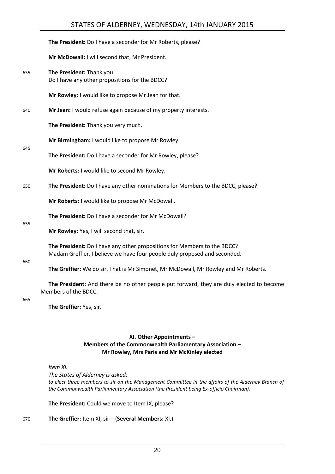|     | The President: Do I have a seconder for Mr Roberts, please?                                                                                           |
|-----|-------------------------------------------------------------------------------------------------------------------------------------------------------|
|     | Mr McDowall: I will second that, Mr President.                                                                                                        |
| 635 | The President: Thank you.<br>Do I have any other propositions for the BDCC?                                                                           |
|     | Mr Rowley: I would like to propose Mr Jean for that.                                                                                                  |
| 640 | Mr Jean: I would refuse again because of my property interests.                                                                                       |
|     | The President: Thank you very much.                                                                                                                   |
|     | Mr Birmingham: I would like to propose Mr Rowley.                                                                                                     |
| 645 | The President: Do I have a seconder for Mr Rowley, please?                                                                                            |
|     | Mr Roberts: I would like to second Mr Rowley.                                                                                                         |
| 650 | The President: Do I have any other nominations for Members to the BDCC, please?                                                                       |
|     | Mr Roberts: I would like to propose Mr McDowall.                                                                                                      |
|     | The President: Do I have a seconder for Mr McDowall?                                                                                                  |
| 655 | Mr Rowley: Yes, I will second that, sir.                                                                                                              |
|     | The President: Do I have any other propositions for Members to the BDCC?<br>Madam Greffier, I believe we have four people duly proposed and seconded. |
| 660 | The Greffier: We do sir. That is Mr Simonet, Mr McDowall, Mr Rowley and Mr Roberts.                                                                   |
|     | The President: And there be no other people put forward, they are duly elected to become                                                              |

665

<span id="page-19-0"></span>**The Greffier:** Yes, sir.

Members of the BDCC.

#### **XI. Other Appointments – Members of the Commonwealth Parliamentary Association – Mr Rowley, Mrs Paris and Mr McKinley elected**

*Item XI.*

*The States of Alderney is asked:*

*to elect three members to sit on the Management Committee in the affairs of the Alderney Branch of the Commonwealth Parliamentary Association (the President being Ex-officio Chairman).*

**The President:** Could we move to Item IX, please?

670 **The Greffier:** Item XI, sir – (**Several Members:** XI.)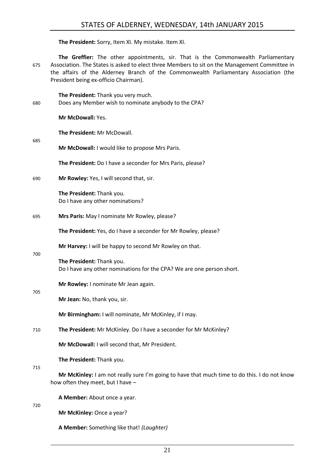**The President:** Sorry, Item XI. My mistake. Item XI.

**The Greffier:** The other appointments, sir. That is the Commonwealth Parliamentary 675 Association. The States is asked to elect three Members to sit on the Management Committee in the affairs of the Alderney Branch of the Commonwealth Parliamentary Association (the President being ex-officio Chairman).

**The President:** Thank you very much. 680 Does any Member wish to nominate anybody to the CPA?

**Mr McDowall:** Yes.

**The President:** Mr McDowall.

**Mr McDowall:** I would like to propose Mrs Paris.

**The President:** Do I have a seconder for Mrs Paris, please?

690 **Mr Rowley:** Yes, I will second that, sir.

**The President:** Thank you. Do I have any other nominations?

695 **Mrs Paris:** May I nominate Mr Rowley, please?

**The President:** Yes, do I have a seconder for Mr Rowley, please?

**Mr Harvey:** I will be happy to second Mr Rowley on that.

**The President:** Thank you. Do I have any other nominations for the CPA? We are one person short.

**Mr Rowley:** I nominate Mr Jean again.

#### 705

700

685

**Mr Jean:** No, thank you, sir.

**Mr Birmingham:** I will nominate, Mr McKinley, if I may.

710 **The President:** Mr McKinley. Do I have a seconder for Mr McKinley?

**Mr McDowall:** I will second that, Mr President.

**The President:** Thank you.

#### 715

**Mr McKinley:** I am not really sure I'm going to have that much time to do this. I do not know how often they meet, but I have –

**A Member:** About once a year.

720

**Mr McKinley:** Once a year?

**A Member:** Something like that! *(Laughter)*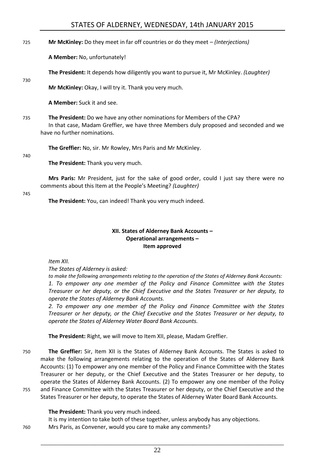\_\_\_\_\_\_\_\_\_\_\_\_\_\_\_\_\_\_\_\_\_\_\_\_\_\_\_\_\_\_\_\_\_\_\_\_\_\_\_\_\_\_\_\_\_\_\_\_\_\_\_\_\_\_\_\_\_\_\_\_\_\_\_\_\_\_\_\_\_\_\_\_

### STATES OF ALDERNEY, WEDNESDAY, 14th JANUARY 2015

#### 725 **Mr McKinley:** Do they meet in far off countries or do they meet – *(Interjections)*

**A Member:** No, unfortunately!

**The President:** It depends how diligently you want to pursue it, Mr McKinley. *(Laughter)*

730

**Mr McKinley:** Okay, I will try it. Thank you very much.

**A Member:** Suck it and see.

735 **The President:** Do we have any other nominations for Members of the CPA? In that case, Madam Greffier, we have three Members duly proposed and seconded and we have no further nominations.

**The Greffier:** No, sir. Mr Rowley, Mrs Paris and Mr McKinley.

#### 740

**The President:** Thank you very much.

**Mrs Paris:** Mr President, just for the sake of good order, could I just say there were no comments about this Item at the People's Meeting? *(Laughter)*

745

<span id="page-21-0"></span>**The President:** You, can indeed! Thank you very much indeed.

#### **XII. States of Alderney Bank Accounts – Operational arrangements – Item approved**

*Item XII.*

*The States of Alderney is asked:*

*to make the following arrangements relating to the operation of the States of Alderney Bank Accounts: 1. To empower any one member of the Policy and Finance Committee with the States Treasurer or her deputy, or the Chief Executive and the States Treasurer or her deputy, to operate the States of Alderney Bank Accounts.* 

*2. To empower any one member of the Policy and Finance Committee with the States Treasurer or her deputy, or the Chief Executive and the States Treasurer or her deputy, to operate the States of Alderney Water Board Bank Accounts.* 

**The President:** Right, we will move to Item XII, please, Madam Greffier.

750 **The Greffier:** Sir, Item XII is the States of Alderney Bank Accounts. The States is asked to make the following arrangements relating to the operation of the States of Alderney Bank Accounts: (1) To empower any one member of the Policy and Finance Committee with the States Treasurer or her deputy, or the Chief Executive and the States Treasurer or her deputy, to operate the States of Alderney Bank Accounts. (2) To empower any one member of the Policy 755 and Finance Committee with the States Treasurer or her deputy, or the Chief Executive and the States Treasurer or her deputy, to operate the States of Alderney Water Board Bank Accounts.

**The President:** Thank you very much indeed.

It is my intention to take both of these together, unless anybody has any objections.

760 Mrs Paris, as Convener, would you care to make any comments?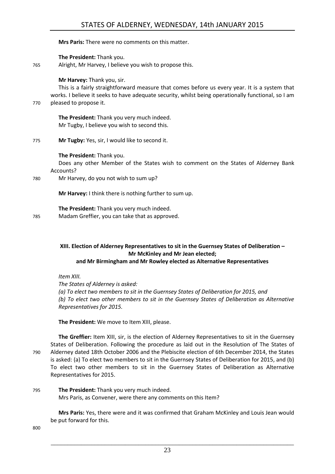**Mrs Paris:** There were no comments on this matter.

**The President:** Thank you.

765 Alright, Mr Harvey, I believe you wish to propose this.

#### **Mr Harvey:** Thank you, sir.

This is a fairly straightforward measure that comes before us every year. It is a system that works. I believe it seeks to have adequate security, whilst being operationally functional, so I am 770 pleased to propose it.

**The President:** Thank you very much indeed. Mr Tugby, I believe you wish to second this.

775 **Mr Tugby:** Yes, sir, I would like to second it.

#### **The President:** Thank you.

Does any other Member of the States wish to comment on the States of Alderney Bank Accounts?

780 Mr Harvey, do you not wish to sum up?

**Mr Harvey:** I think there is nothing further to sum up.

**The President:** Thank you very much indeed.

785 Madam Greffier, you can take that as approved.

### <span id="page-22-0"></span>**XIII. Election of Alderney Representatives to sit in the Guernsey States of Deliberation – Mr McKinley and Mr Jean elected;**

#### **and Mr Birmingham and Mr Rowley elected as Alternative Representatives**

*Item XIII.*

*The States of Alderney is asked: (a) To elect two members to sit in the Guernsey States of Deliberation for 2015, and (b) To elect two other members to sit in the Guernsey States of Deliberation as Alternative Representatives for 2015.* 

**The President:** We move to Item XIII, please.

**The Greffier:** Item XIII, sir, is the election of Alderney Representatives to sit in the Guernsey States of Deliberation. Following the procedure as laid out in the Resolution of The States of 790 Alderney dated 18th October 2006 and the Plebiscite election of 6th December 2014, the States is asked: (a) To elect two members to sit in the Guernsey States of Deliberation for 2015, and (b) To elect two other members to sit in the Guernsey States of Deliberation as Alternative Representatives for 2015.

795 **The President:** Thank you very much indeed. Mrs Paris, as Convener, were there any comments on this Item?

**Mrs Paris:** Yes, there were and it was confirmed that Graham McKinley and Louis Jean would be put forward for this.

800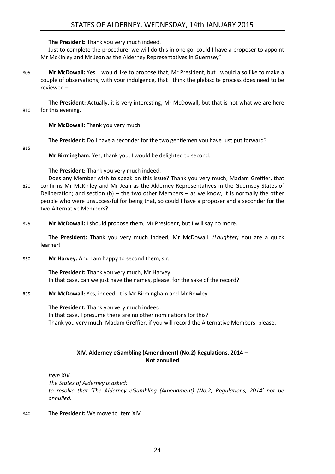Just to complete the procedure, we will do this in one go, could I have a proposer to appoint Mr McKinley and Mr Jean as the Alderney Representatives in Guernsey?

805 **Mr McDowall:** Yes, I would like to propose that, Mr President, but I would also like to make a couple of observations, with your indulgence, that I think the plebiscite process does need to be reviewed –

**The President:** Actually, it is very interesting, Mr McDowall, but that is not what we are here 810 for this evening.

**Mr McDowall:** Thank you very much.

**The President:** Do I have a seconder for the two gentlemen you have just put forward?

815

**Mr Birmingham:** Yes, thank you, I would be delighted to second.

**The President:** Thank you very much indeed.

- Does any Member wish to speak on this issue? Thank you very much, Madam Greffier, that 820 confirms Mr McKinley and Mr Jean as the Alderney Representatives in the Guernsey States of Deliberation; and section (b) – the two other Members – as we know, it is normally the other people who were unsuccessful for being that, so could I have a proposer and a seconder for the two Alternative Members?
- 825 **Mr McDowall:** I should propose them, Mr President, but I will say no more.

**The President:** Thank you very much indeed, Mr McDowall. *(Laughter)* You are a quick learner!

830 **Mr Harvey:** And I am happy to second them, sir.

**The President:** Thank you very much, Mr Harvey. In that case, can we just have the names, please, for the sake of the record?

835 **Mr McDowall:** Yes, indeed. It is Mr Birmingham and Mr Rowley.

**The President:** Thank you very much indeed. In that case, I presume there are no other nominations for this? Thank you very much. Madam Greffier, if you will record the Alternative Members, please.

#### **XIV. Alderney eGambling (Amendment) (No.2) Regulations, 2014 – Not annulled**

<span id="page-23-0"></span>*Item XIV.*

*The States of Alderney is asked: to resolve that 'The Alderney eGambling (Amendment) (No.2) Regulations, 2014' not be annulled.*

840 **The President:** We move to Item XIV.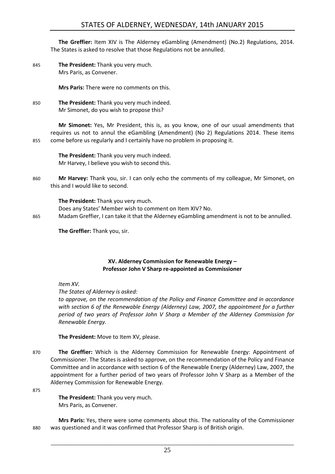**The Greffier:** Item XIV is The Alderney eGambling (Amendment) (No.2) Regulations, 2014. The States is asked to resolve that those Regulations not be annulled.

845 **The President:** Thank you very much. Mrs Paris, as Convener.

**Mrs Paris:** There were no comments on this.

850 **The President:** Thank you very much indeed. Mr Simonet, do you wish to propose this?

**Mr Simonet:** Yes, Mr President, this is, as you know, one of our usual amendments that requires us not to annul the eGambling (Amendment) (No 2) Regulations 2014. These items 855 come before us regularly and I certainly have no problem in proposing it.

**The President:** Thank you very much indeed. Mr Harvey, I believe you wish to second this.

860 **Mr Harvey:** Thank you, sir. I can only echo the comments of my colleague, Mr Simonet, on this and I would like to second.

**The President:** Thank you very much.

Does any States' Member wish to comment on Item XIV? No. 865 Madam Greffier, I can take it that the Alderney eGambling amendment is not to be annulled.

<span id="page-24-0"></span>**The Greffier:** Thank you, sir.

#### **XV. Alderney Commission for Renewable Energy – Professor John V Sharp re-appointed as Commissioner**

#### *Item XV.*

*The States of Alderney is asked:*

*to approve, on the recommendation of the Policy and Finance Committee and in accordance with section 6 of the Renewable Energy (Alderney) Law, 2007, the appointment for a further period of two years of Professor John V Sharp a Member of the Alderney Commission for Renewable Energy.*

**The President:** Move to Item XV, please.

870 **The Greffier:** Which is the Alderney Commission for Renewable Energy: Appointment of Commissioner. The States is asked to approve, on the recommendation of the Policy and Finance Committee and in accordance with section 6 of the Renewable Energy (Alderney) Law, 2007, the appointment for a further period of two years of Professor John V Sharp as a Member of the Alderney Commission for Renewable Energy.

875

**The President:** Thank you very much. Mrs Paris, as Convener.

**Mrs Paris:** Yes, there were some comments about this. The nationality of the Commissioner 880 was questioned and it was confirmed that Professor Sharp is of British origin.